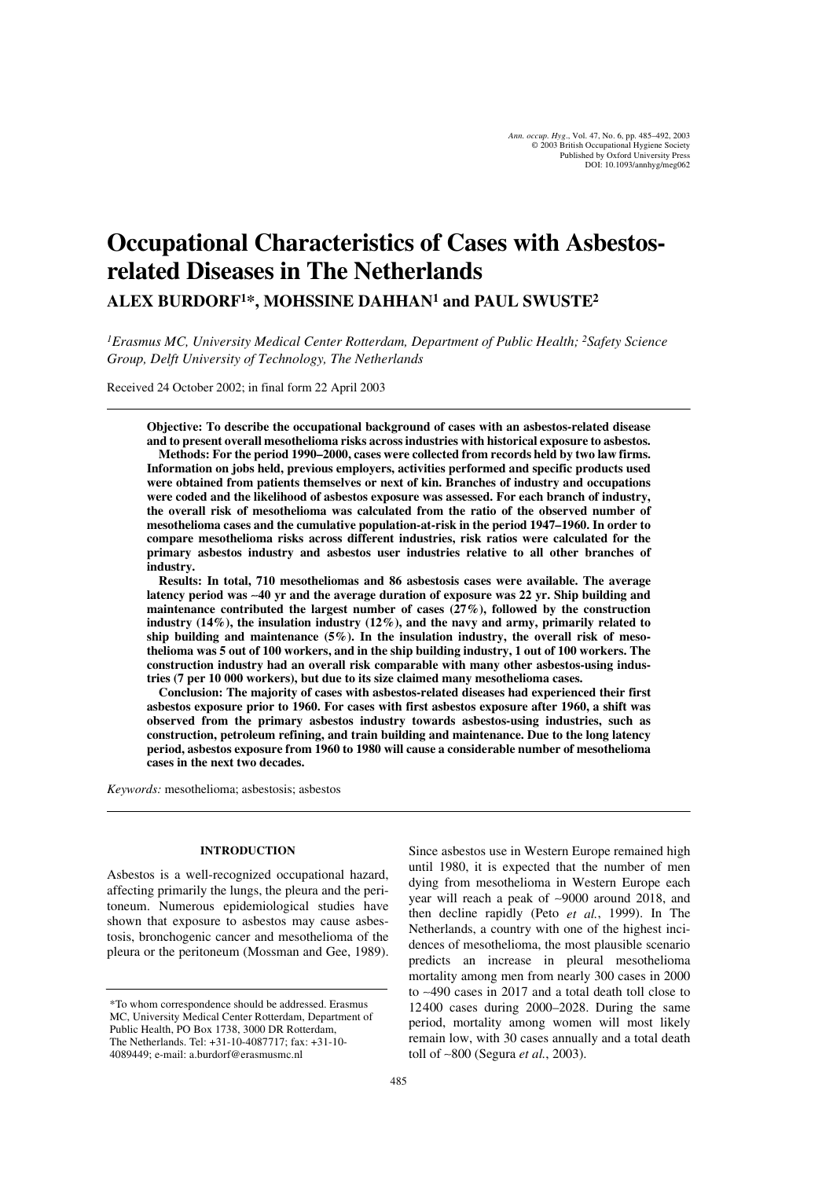# **Occupational Characteristics of Cases with Asbestosrelated Diseases in The Netherlands**

**ALEX BURDORF1\*, MOHSSINE DAHHAN1 and PAUL SWUSTE2**

*1Erasmus MC, University Medical Center Rotterdam, Department of Public Health; 2Safety Science Group, Delft University of Technology, The Netherlands*

Received 24 October 2002; in final form 22 April 2003

**Objective: To describe the occupational background of cases with an asbestos-related disease and to present overall mesothelioma risks across industries with historical exposure to asbestos.**

**Methods: For the period 1990–2000, cases were collected from records held by two law firms. Information on jobs held, previous employers, activities performed and specific products used were obtained from patients themselves or next of kin. Branches of industry and occupations were coded and the likelihood of asbestos exposure was assessed. For each branch of industry, the overall risk of mesothelioma was calculated from the ratio of the observed number of mesothelioma cases and the cumulative population-at-risk in the period 1947–1960. In order to compare mesothelioma risks across different industries, risk ratios were calculated for the primary asbestos industry and asbestos user industries relative to all other branches of industry.**

**Results: In total, 710 mesotheliomas and 86 asbestosis cases were available. The average latency period was** ∼**40 yr and the average duration of exposure was 22 yr. Ship building and maintenance contributed the largest number of cases (27%), followed by the construction industry (14%), the insulation industry (12%), and the navy and army, primarily related to ship building and maintenance (5%). In the insulation industry, the overall risk of mesothelioma was 5 out of 100 workers, and in the ship building industry, 1 out of 100 workers. The construction industry had an overall risk comparable with many other asbestos-using industries (7 per 10 000 workers), but due to its size claimed many mesothelioma cases.**

**Conclusion: The majority of cases with asbestos-related diseases had experienced their first asbestos exposure prior to 1960. For cases with first asbestos exposure after 1960, a shift was observed from the primary asbestos industry towards asbestos-using industries, such as construction, petroleum refining, and train building and maintenance. Due to the long latency period, asbestos exposure from 1960 to 1980 will cause a considerable number of mesothelioma cases in the next two decades.**

*Keywords:* mesothelioma; asbestosis; asbestos

#### **INTRODUCTION**

Asbestos is a well-recognized occupational hazard, affecting primarily the lungs, the pleura and the peritoneum. Numerous epidemiological studies have shown that exposure to asbestos may cause asbestosis, bronchogenic cancer and mesothelioma of the pleura or the peritoneum (Mossman and Gee, 1989). Since asbestos use in Western Europe remained high until 1980, it is expected that the number of men dying from mesothelioma in Western Europe each year will reach a peak of ∼9000 around 2018, and then decline rapidly (Peto *et al.*, 1999). In The Netherlands, a country with one of the highest incidences of mesothelioma, the most plausible scenario predicts an increase in pleural mesothelioma mortality among men from nearly 300 cases in 2000 to ∼490 cases in 2017 and a total death toll close to 12400 cases during 2000–2028. During the same period, mortality among women will most likely remain low, with 30 cases annually and a total death toll of ∼800 (Segura *et al.*, 2003).

<sup>\*</sup>To whom correspondence should be addressed. Erasmus MC, University Medical Center Rotterdam, Department of Public Health, PO Box 1738, 3000 DR Rotterdam, The Netherlands. Tel: +31-10-4087717; fax: +31-10- 4089449; e-mail: a.burdorf@erasmusmc.nl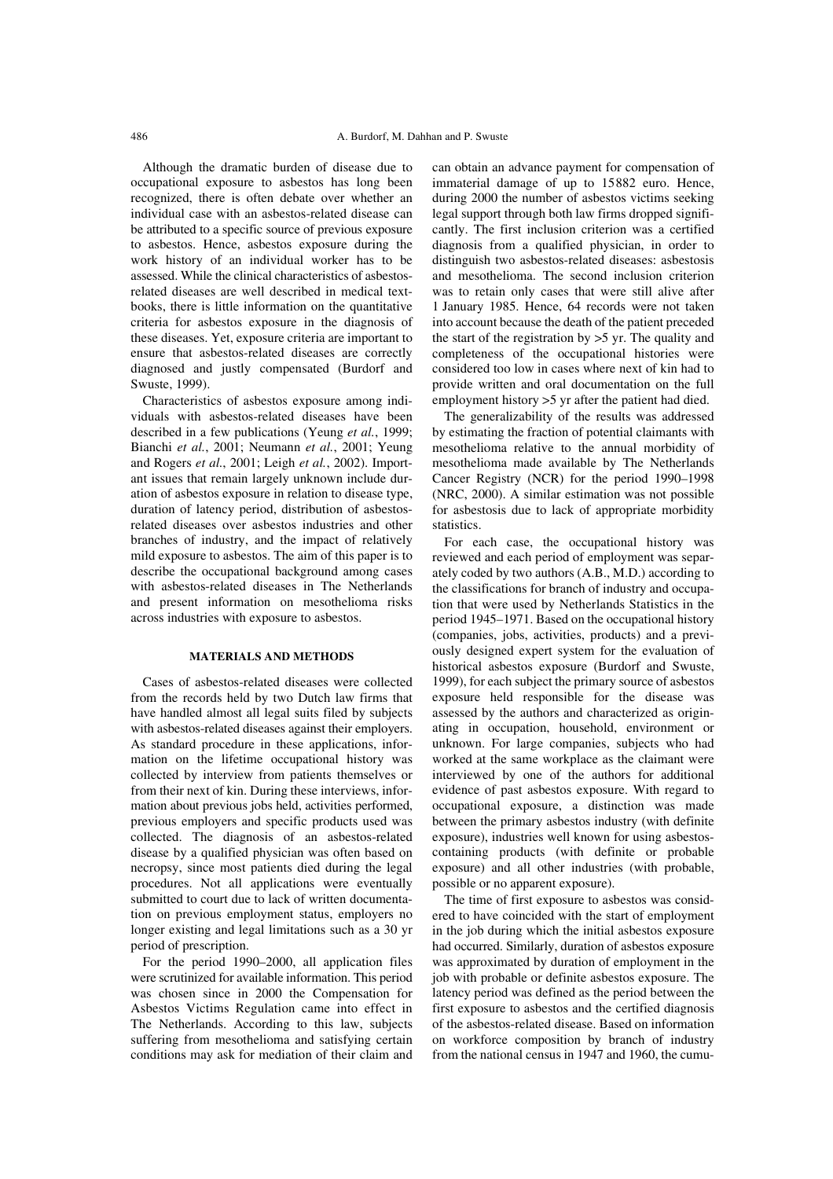Although the dramatic burden of disease due to occupational exposure to asbestos has long been recognized, there is often debate over whether an individual case with an asbestos-related disease can be attributed to a specific source of previous exposure to asbestos. Hence, asbestos exposure during the work history of an individual worker has to be assessed. While the clinical characteristics of asbestosrelated diseases are well described in medical textbooks, there is little information on the quantitative criteria for asbestos exposure in the diagnosis of these diseases. Yet, exposure criteria are important to ensure that asbestos-related diseases are correctly diagnosed and justly compensated (Burdorf and Swuste, 1999).

Characteristics of asbestos exposure among individuals with asbestos-related diseases have been described in a few publications (Yeung *et al.*, 1999; Bianchi *et al.*, 2001; Neumann *et al.*, 2001; Yeung and Rogers *et al.*, 2001; Leigh *et al.*, 2002). Important issues that remain largely unknown include duration of asbestos exposure in relation to disease type, duration of latency period, distribution of asbestosrelated diseases over asbestos industries and other branches of industry, and the impact of relatively mild exposure to asbestos. The aim of this paper is to describe the occupational background among cases with asbestos-related diseases in The Netherlands and present information on mesothelioma risks across industries with exposure to asbestos.

## **MATERIALS AND METHODS**

Cases of asbestos-related diseases were collected from the records held by two Dutch law firms that have handled almost all legal suits filed by subjects with asbestos-related diseases against their employers. As standard procedure in these applications, information on the lifetime occupational history was collected by interview from patients themselves or from their next of kin. During these interviews, information about previous jobs held, activities performed, previous employers and specific products used was collected. The diagnosis of an asbestos-related disease by a qualified physician was often based on necropsy, since most patients died during the legal procedures. Not all applications were eventually submitted to court due to lack of written documentation on previous employment status, employers no longer existing and legal limitations such as a 30 yr period of prescription.

For the period 1990–2000, all application files were scrutinized for available information. This period was chosen since in 2000 the Compensation for Asbestos Victims Regulation came into effect in The Netherlands. According to this law, subjects suffering from mesothelioma and satisfying certain conditions may ask for mediation of their claim and can obtain an advance payment for compensation of immaterial damage of up to 15882 euro. Hence, during 2000 the number of asbestos victims seeking legal support through both law firms dropped significantly. The first inclusion criterion was a certified diagnosis from a qualified physician, in order to distinguish two asbestos-related diseases: asbestosis and mesothelioma. The second inclusion criterion was to retain only cases that were still alive after 1 January 1985. Hence, 64 records were not taken into account because the death of the patient preceded the start of the registration by >5 yr. The quality and completeness of the occupational histories were considered too low in cases where next of kin had to provide written and oral documentation on the full employment history >5 yr after the patient had died.

The generalizability of the results was addressed by estimating the fraction of potential claimants with mesothelioma relative to the annual morbidity of mesothelioma made available by The Netherlands Cancer Registry (NCR) for the period 1990–1998 (NRC, 2000). A similar estimation was not possible for asbestosis due to lack of appropriate morbidity statistics.

For each case, the occupational history was reviewed and each period of employment was separately coded by two authors (A.B., M.D.) according to the classifications for branch of industry and occupation that were used by Netherlands Statistics in the period 1945–1971. Based on the occupational history (companies, jobs, activities, products) and a previously designed expert system for the evaluation of historical asbestos exposure (Burdorf and Swuste, 1999), for each subject the primary source of asbestos exposure held responsible for the disease was assessed by the authors and characterized as originating in occupation, household, environment or unknown. For large companies, subjects who had worked at the same workplace as the claimant were interviewed by one of the authors for additional evidence of past asbestos exposure. With regard to occupational exposure, a distinction was made between the primary asbestos industry (with definite exposure), industries well known for using asbestoscontaining products (with definite or probable exposure) and all other industries (with probable, possible or no apparent exposure).

The time of first exposure to asbestos was considered to have coincided with the start of employment in the job during which the initial asbestos exposure had occurred. Similarly, duration of asbestos exposure was approximated by duration of employment in the job with probable or definite asbestos exposure. The latency period was defined as the period between the first exposure to asbestos and the certified diagnosis of the asbestos-related disease. Based on information on workforce composition by branch of industry from the national census in 1947 and 1960, the cumu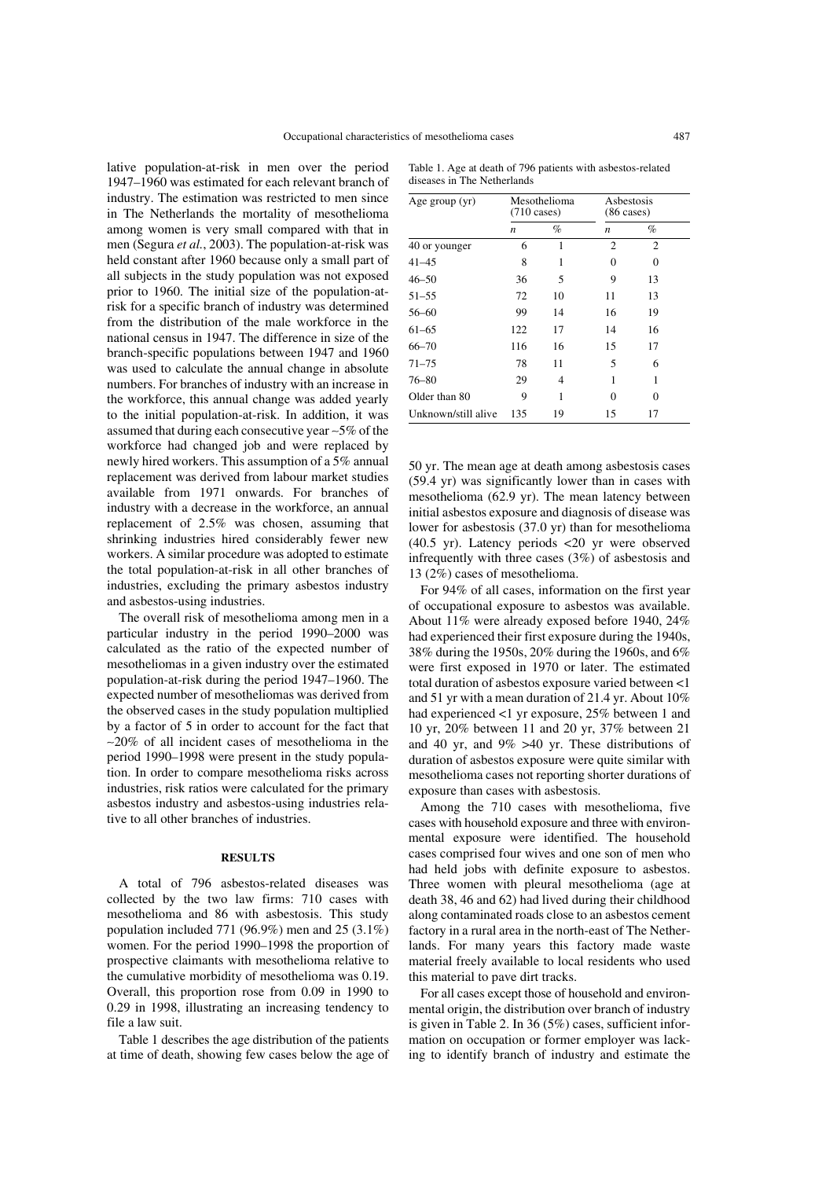lative population-at-risk in men over the period 1947–1960 was estimated for each relevant branch of industry. The estimation was restricted to men since in The Netherlands the mortality of mesothelioma among women is very small compared with that in men (Segura *et al.*, 2003). The population-at-risk was held constant after 1960 because only a small part of all subjects in the study population was not exposed prior to 1960. The initial size of the population-atrisk for a specific branch of industry was determined from the distribution of the male workforce in the national census in 1947. The difference in size of the branch-specific populations between 1947 and 1960 was used to calculate the annual change in absolute numbers. For branches of industry with an increase in the workforce, this annual change was added yearly to the initial population-at-risk. In addition, it was assumed that during each consecutive year ∼5% of the workforce had changed job and were replaced by newly hired workers. This assumption of a 5% annual replacement was derived from labour market studies available from 1971 onwards. For branches of industry with a decrease in the workforce, an annual replacement of 2.5% was chosen, assuming that shrinking industries hired considerably fewer new workers. A similar procedure was adopted to estimate the total population-at-risk in all other branches of industries, excluding the primary asbestos industry and asbestos-using industries.

The overall risk of mesothelioma among men in a particular industry in the period 1990–2000 was calculated as the ratio of the expected number of mesotheliomas in a given industry over the estimated population-at-risk during the period 1947–1960. The expected number of mesotheliomas was derived from the observed cases in the study population multiplied by a factor of 5 in order to account for the fact that ∼20% of all incident cases of mesothelioma in the period 1990–1998 were present in the study population. In order to compare mesothelioma risks across industries, risk ratios were calculated for the primary asbestos industry and asbestos-using industries relative to all other branches of industries.

## **RESULTS**

A total of 796 asbestos-related diseases was collected by the two law firms: 710 cases with mesothelioma and 86 with asbestosis. This study population included 771 (96.9%) men and 25 (3.1%) women. For the period 1990–1998 the proportion of prospective claimants with mesothelioma relative to the cumulative morbidity of mesothelioma was 0.19. Overall, this proportion rose from 0.09 in 1990 to 0.29 in 1998, illustrating an increasing tendency to file a law suit.

Table 1 describes the age distribution of the patients at time of death, showing few cases below the age of

Table 1. Age at death of 796 patients with asbestos-related diseases in The Netherlands

| Age group (yr)      | Mesothelioma<br>$(710 \text{ cases})$ |    | Asbestosis<br>$(86 \text{ cases})$ |          |  |
|---------------------|---------------------------------------|----|------------------------------------|----------|--|
|                     | $\boldsymbol{n}$                      | %  | n                                  | $\%$     |  |
| 40 or younger       | 6                                     | 1  | $\overline{2}$                     | 2        |  |
| 41–45               | 8                                     | 1  | $\Omega$                           | $\Omega$ |  |
| 46–50               | 36                                    | 5  | 9                                  | 13       |  |
| $51 - 55$           | 72                                    | 10 | 11                                 | 13       |  |
| 56-60               | 99                                    | 14 | 16                                 | 19       |  |
| $61 - 65$           | 122                                   | 17 | 14                                 | 16       |  |
| $66 - 70$           | 116                                   | 16 | 15                                 | 17       |  |
| $71 - 75$           | 78                                    | 11 | 5                                  | 6        |  |
| $76 - 80$           | 29                                    | 4  | 1                                  | 1        |  |
| Older than 80       | 9                                     | 1  | $\Omega$                           | $\Omega$ |  |
| Unknown/still alive | 135                                   | 19 | 15                                 | 17       |  |

50 yr. The mean age at death among asbestosis cases (59.4 yr) was significantly lower than in cases with mesothelioma (62.9 yr). The mean latency between initial asbestos exposure and diagnosis of disease was lower for asbestosis (37.0 yr) than for mesothelioma (40.5 yr). Latency periods <20 yr were observed infrequently with three cases (3%) of asbestosis and 13 (2%) cases of mesothelioma.

For 94% of all cases, information on the first year of occupational exposure to asbestos was available. About 11% were already exposed before 1940, 24% had experienced their first exposure during the 1940s, 38% during the 1950s, 20% during the 1960s, and 6% were first exposed in 1970 or later. The estimated total duration of asbestos exposure varied between <1 and 51 yr with a mean duration of 21.4 yr. About 10% had experienced <1 yr exposure, 25% between 1 and 10 yr, 20% between 11 and 20 yr, 37% between 21 and 40 yr, and 9% >40 yr. These distributions of duration of asbestos exposure were quite similar with mesothelioma cases not reporting shorter durations of exposure than cases with asbestosis.

Among the 710 cases with mesothelioma, five cases with household exposure and three with environmental exposure were identified. The household cases comprised four wives and one son of men who had held jobs with definite exposure to asbestos. Three women with pleural mesothelioma (age at death 38, 46 and 62) had lived during their childhood along contaminated roads close to an asbestos cement factory in a rural area in the north-east of The Netherlands. For many years this factory made waste material freely available to local residents who used this material to pave dirt tracks.

For all cases except those of household and environmental origin, the distribution over branch of industry is given in Table 2. In 36 (5%) cases, sufficient information on occupation or former employer was lacking to identify branch of industry and estimate the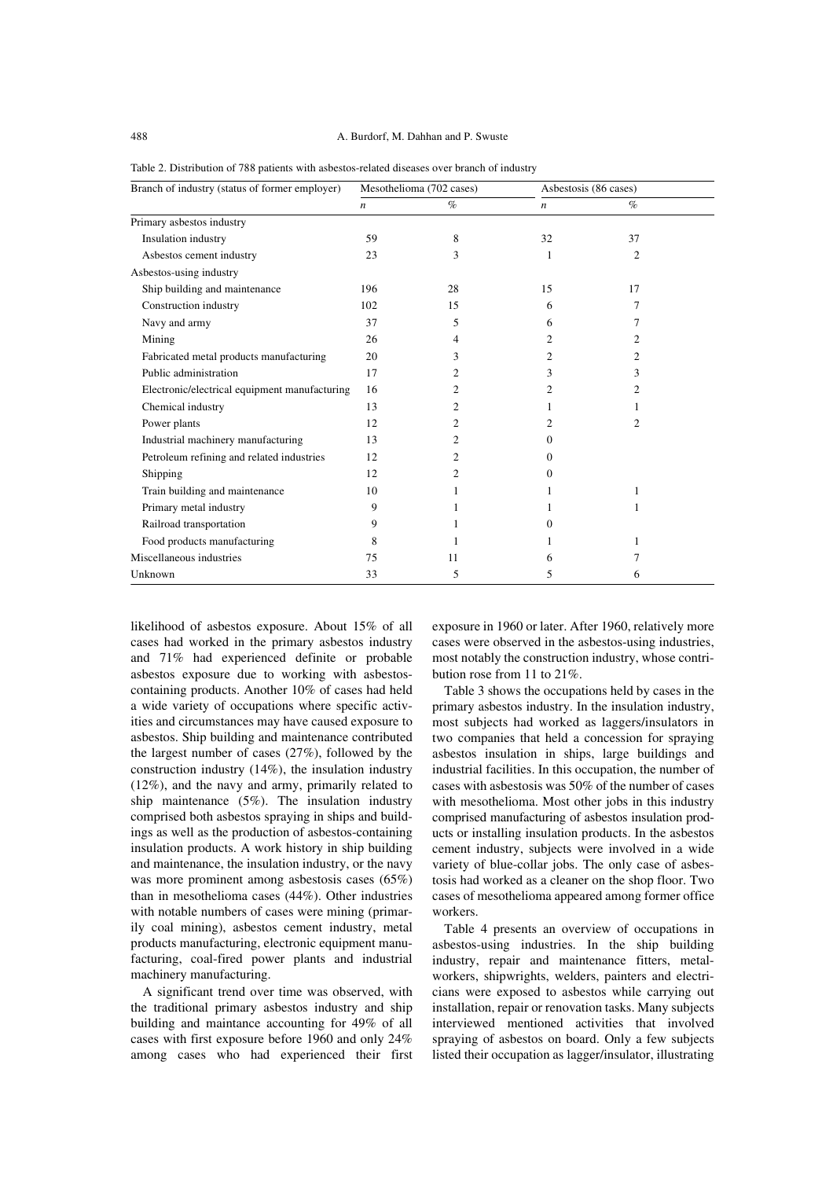| Branch of industry (status of former employer) | Mesothelioma (702 cases) |      | Asbestosis (86 cases) |      |  |
|------------------------------------------------|--------------------------|------|-----------------------|------|--|
|                                                | $\boldsymbol{n}$         | $\%$ | $\boldsymbol{n}$      | $\%$ |  |
| Primary asbestos industry                      |                          |      |                       |      |  |
| Insulation industry                            | 59                       | 8    | 32                    | 37   |  |
| Asbestos cement industry                       | 23                       | 3    | 1                     | 2    |  |
| Asbestos-using industry                        |                          |      |                       |      |  |
| Ship building and maintenance                  | 196                      | 28   | 15                    | 17   |  |
| Construction industry                          | 102                      | 15   | 6                     | 7    |  |
| Navy and army                                  | 37                       | 5    | 6                     | 7    |  |
| Mining                                         | 26                       | 4    | 2                     | 2    |  |
| Fabricated metal products manufacturing        | 20                       | 3    | 2                     | 2    |  |
| Public administration                          | 17                       | 2    | 3                     | 3    |  |
| Electronic/electrical equipment manufacturing  | 16                       | 2    | 2                     | 2    |  |
| Chemical industry                              | 13                       | 2    |                       |      |  |
| Power plants                                   | 12                       | 2    | 2                     | 2    |  |
| Industrial machinery manufacturing             | 13                       | 2    | 0                     |      |  |
| Petroleum refining and related industries      | 12                       | 2    | $\Omega$              |      |  |
| Shipping                                       | 12                       | 2    | $\Omega$              |      |  |
| Train building and maintenance                 | 10                       |      | 1                     | 1    |  |
| Primary metal industry                         | 9                        |      |                       | 1    |  |
| Railroad transportation                        | 9                        |      | $\Omega$              |      |  |
| Food products manufacturing                    | 8                        |      |                       | 1    |  |
| Miscellaneous industries                       | 75                       | 11   | 6                     |      |  |
| Unknown                                        | 33                       | 5    | 5                     | 6    |  |

Table 2. Distribution of 788 patients with asbestos-related diseases over branch of industry

likelihood of asbestos exposure. About 15% of all cases had worked in the primary asbestos industry and 71% had experienced definite or probable asbestos exposure due to working with asbestoscontaining products. Another 10% of cases had held a wide variety of occupations where specific activities and circumstances may have caused exposure to asbestos. Ship building and maintenance contributed the largest number of cases (27%), followed by the construction industry (14%), the insulation industry (12%), and the navy and army, primarily related to ship maintenance (5%). The insulation industry comprised both asbestos spraying in ships and buildings as well as the production of asbestos-containing insulation products. A work history in ship building and maintenance, the insulation industry, or the navy was more prominent among asbestosis cases (65%) than in mesothelioma cases (44%). Other industries with notable numbers of cases were mining (primarily coal mining), asbestos cement industry, metal products manufacturing, electronic equipment manufacturing, coal-fired power plants and industrial machinery manufacturing.

A significant trend over time was observed, with the traditional primary asbestos industry and ship building and maintance accounting for 49% of all cases with first exposure before 1960 and only 24% among cases who had experienced their first exposure in 1960 or later. After 1960, relatively more cases were observed in the asbestos-using industries, most notably the construction industry, whose contribution rose from 11 to 21%.

Table 3 shows the occupations held by cases in the primary asbestos industry. In the insulation industry, most subjects had worked as laggers/insulators in two companies that held a concession for spraying asbestos insulation in ships, large buildings and industrial facilities. In this occupation, the number of cases with asbestosis was 50% of the number of cases with mesothelioma. Most other jobs in this industry comprised manufacturing of asbestos insulation products or installing insulation products. In the asbestos cement industry, subjects were involved in a wide variety of blue-collar jobs. The only case of asbestosis had worked as a cleaner on the shop floor. Two cases of mesothelioma appeared among former office workers.

Table 4 presents an overview of occupations in asbestos-using industries. In the ship building industry, repair and maintenance fitters, metalworkers, shipwrights, welders, painters and electricians were exposed to asbestos while carrying out installation, repair or renovation tasks. Many subjects interviewed mentioned activities that involved spraying of asbestos on board. Only a few subjects listed their occupation as lagger/insulator, illustrating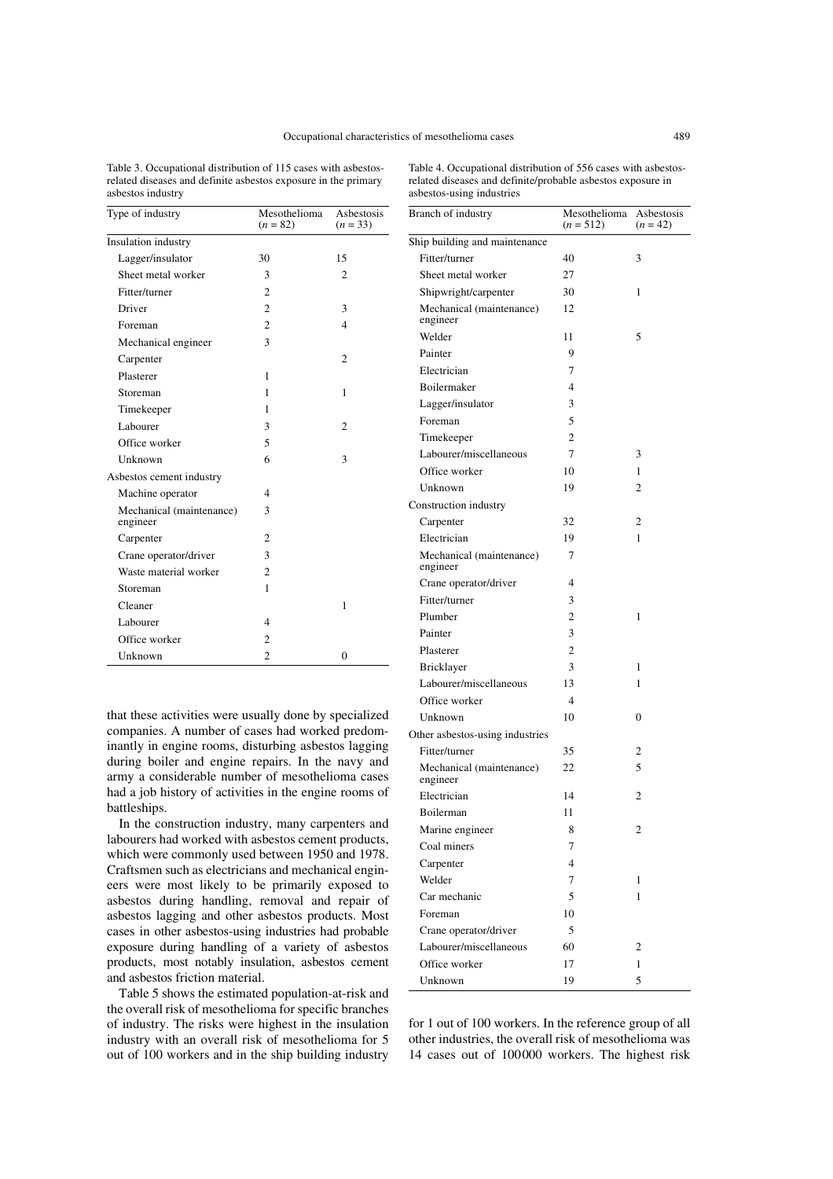Branch of industry

Table 3. Occupational distribution of 115 cases with asbestosrelated diseases and definite asbestos exposure in the primary asbestos industry

Table 4. Occupational distribution of 556 cases with asbestosrelated diseases and definite/probable asbestos exposure in asbestos-using industries

| Type of industry                     | Mesothelioma<br>$(n = 82)$ | Asbestosis<br>$(n = 33)$ |
|--------------------------------------|----------------------------|--------------------------|
| Insulation industry                  |                            |                          |
| Lagger/insulator                     | 30                         | 15                       |
| Sheet metal worker                   | 3                          | 2                        |
| Fitter/turner                        | $\overline{c}$             |                          |
| Driver                               | $\overline{c}$             | 3                        |
| Foreman                              | $\overline{c}$             | 4                        |
| Mechanical engineer                  | 3                          |                          |
| Carpenter                            |                            | $\overline{c}$           |
| Plasterer                            | 1                          |                          |
| Storeman                             | 1                          | 1                        |
| Timekeeper                           | 1                          |                          |
| Labourer                             | 3                          | $\overline{c}$           |
| Office worker                        | 5                          |                          |
| Unknown                              | 6                          | 3                        |
| Asbestos cement industry             |                            |                          |
| Machine operator                     | 4                          |                          |
| Mechanical (maintenance)<br>engineer | 3                          |                          |
| Carpenter                            | $\overline{c}$             |                          |
| Crane operator/driver                | 3                          |                          |
| Waste material worker                | 2                          |                          |
| Storeman                             | 1                          |                          |
| Cleaner                              |                            | 1                        |
| Labourer                             | $\overline{\mathbf{4}}$    |                          |
| Office worker                        | $\overline{c}$             |                          |
| Unknown                              | $\overline{2}$             | $\theta$                 |

that these activities were usually done by specialized companies. A number of cases had worked predominantly in engine rooms, disturbing asbestos lagging during boiler and engine repairs. In the navy and army a considerable number of mesothelioma cases had a job history of activities in the engine rooms of battleships.

In the construction industry, many carpenters and labourers had worked with asbestos cement products, which were commonly used between 1950 and 1978. Craftsmen such as electricians and mechanical engineers were most likely to be primarily exposed to asbestos during handling, removal and repair of asbestos lagging and other asbestos products. Most cases in other asbestos-using industries had probable exposure during handling of a variety of asbestos products, most notably insulation, asbestos cement and asbestos friction material.

Table 5 shows the estimated population-at-risk and the overall risk of mesothelioma for specific branches of industry. The risks were highest in the insulation industry with an overall risk of mesothelioma for 5 out of 100 workers and in the ship building industry

|                                      | $(n = 512)$    | $(n = 42)$     |
|--------------------------------------|----------------|----------------|
| Ship building and maintenance        |                |                |
| Fitter/turner                        | 40             | 3              |
| Sheet metal worker                   | 27             |                |
| Shipwright/carpenter                 | 30             | 1              |
| Mechanical (maintenance)<br>engineer | 12             |                |
| Welder                               | 11             | 5              |
| Painter                              | 9              |                |
| Electrician                          | 7              |                |
| <b>Boilermaker</b>                   | 4              |                |
| Lagger/insulator                     | 3              |                |
| Foreman                              | 5              |                |
| Timekeeper                           | $\overline{c}$ |                |
| Labourer/miscellaneous               | 7              | 3              |
| Office worker                        | 10             | 1              |
| Unknown                              | 19             | $\overline{c}$ |
| Construction industry                |                |                |
| Carpenter                            | 32             | 2              |
| Electrician                          | 19             | 1              |
| Mechanical (maintenance)<br>engineer | 7              |                |
| Crane operator/driver                | 4              |                |
| Fitter/turner                        | 3              |                |
| Plumber                              | 2              | 1              |
| Painter                              | 3              |                |
| Plasterer                            | 2              |                |
| Bricklayer                           | 3              | 1              |
| Labourer/miscellaneous               | 13             | 1              |
| Office worker                        | 4              |                |
| Unknown                              | 10             | 0              |
| Other asbestos-using industries      |                |                |
| Fitter/turner                        | 35             | 2              |
| Mechanical (maintenance)<br>engineer | 22             | 5              |
| Electrician                          | 14             | 2              |
| Boilerman                            | 11             |                |
| Marine engineer                      | 8              | 2              |
| Coal miners                          | 7              |                |
| Carpenter                            | 4              |                |
| Welder                               | 7              | 1              |
| Car mechanic                         | 5              | 1              |
| Foreman                              | 10             |                |
| Crane operator/driver                | 5              |                |
| Labourer/miscellaneous               | 60             | 2              |
| Office worker                        | 17             | 1              |
| Unknown                              | 19             | 5              |

for 1 out of 100 workers. In the reference group of all other industries, the overall risk of mesothelioma was 14 cases out of 100000 workers. The highest risk

Mesothelioma Asbestosis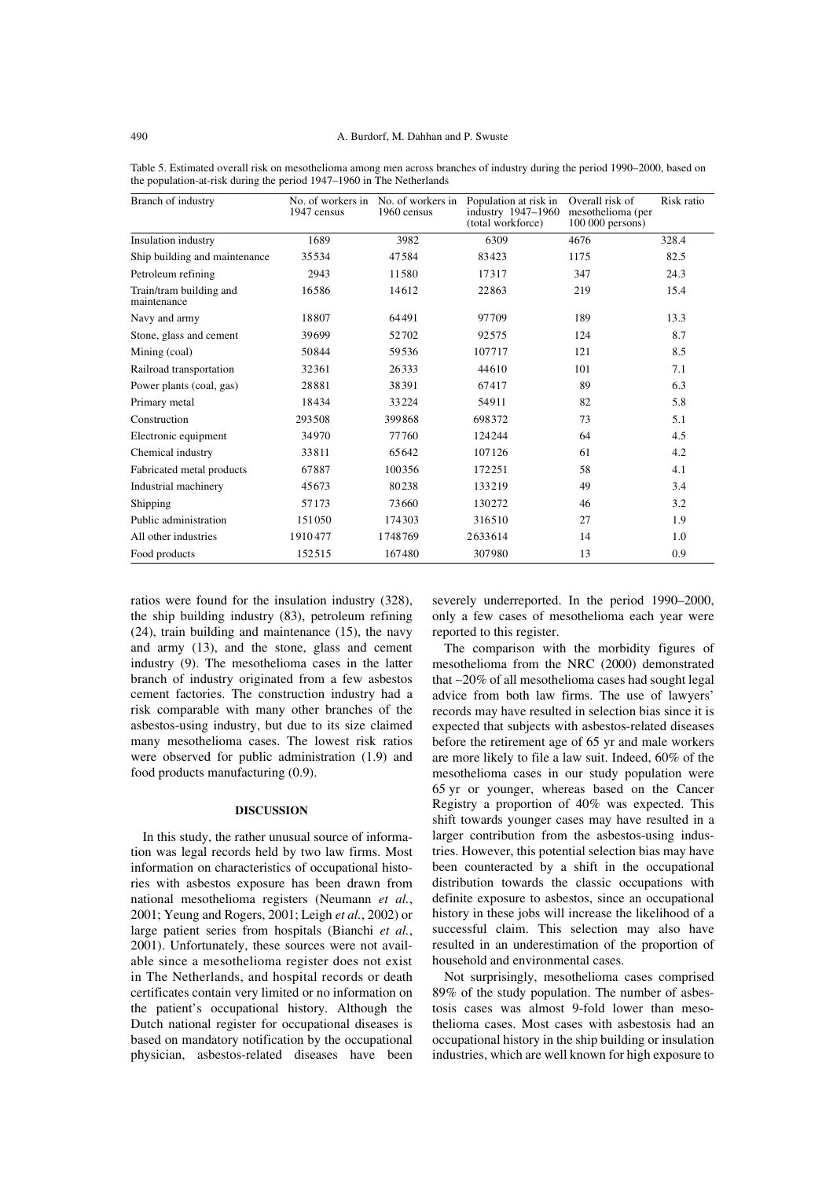| Branch of industry                     | 1947 census | No. of workers in No. of workers in<br>1960 census | Population at risk in<br>industry 1947-1960<br>(total workforce) | Overall risk of<br>mesothelioma (per<br>$100000$ persons) | Risk ratio |
|----------------------------------------|-------------|----------------------------------------------------|------------------------------------------------------------------|-----------------------------------------------------------|------------|
| Insulation industry                    | 1689        | 3982                                               | 6309                                                             | 4676                                                      | 328.4      |
| Ship building and maintenance          | 35534       | 47584                                              | 83423                                                            | 1175                                                      | 82.5       |
| Petroleum refining                     | 2943        | 11580                                              | 17317                                                            | 347                                                       | 24.3       |
| Train/tram building and<br>maintenance | 16586       | 14612                                              | 22863                                                            | 219                                                       | 15.4       |
| Navy and army                          | 18807       | 64491                                              | 97709                                                            | 189                                                       | 13.3       |
| Stone, glass and cement                | 39699       | 52702                                              | 92575                                                            | 124                                                       | 8.7        |
| Mining (coal)                          | 50844       | 59536                                              | 107717                                                           | 121                                                       | 8.5        |
| Railroad transportation                | 32361       | 26333                                              | 44610                                                            | 101                                                       | 7.1        |
| Power plants (coal, gas)               | 28881       | 38391                                              | 67417                                                            | 89                                                        | 6.3        |
| Primary metal                          | 18434       | 33224                                              | 54911                                                            | 82                                                        | 5.8        |
| Construction                           | 293508      | 399868                                             | 698372                                                           | 73                                                        | 5.1        |
| Electronic equipment                   | 34970       | 77760                                              | 124244                                                           | 64                                                        | 4.5        |
| Chemical industry                      | 33811       | 65642                                              | 107126                                                           | 61                                                        | 4.2        |
| Fabricated metal products              | 67887       | 100356                                             | 172251                                                           | 58                                                        | 4.1        |
| Industrial machinery                   | 45673       | 80238                                              | 133219                                                           | 49                                                        | 3.4        |
| Shipping                               | 57173       | 73660                                              | 130272                                                           | 46                                                        | 3.2        |
| Public administration                  | 151050      | 174303                                             | 316510                                                           | 27                                                        | 1.9        |
| All other industries                   | 1910477     | 1748769                                            | 2633614                                                          | 14                                                        | 1.0        |
| Food products                          | 152515      | 167480                                             | 307980                                                           | 13                                                        | 0.9        |

Table 5. Estimated overall risk on mesothelioma among men across branches of industry during the period 1990–2000, based on the population-at-risk during the period 1947–1960 in The Netherlands

ratios were found for the insulation industry (328), the ship building industry (83), petroleum refining (24), train building and maintenance (15), the navy and army (13), and the stone, glass and cement industry (9). The mesothelioma cases in the latter branch of industry originated from a few asbestos cement factories. The construction industry had a risk comparable with many other branches of the asbestos-using industry, but due to its size claimed many mesothelioma cases. The lowest risk ratios were observed for public administration (1.9) and food products manufacturing (0.9).

#### **DISCUSSION**

In this study, the rather unusual source of information was legal records held by two law firms. Most information on characteristics of occupational histories with asbestos exposure has been drawn from national mesothelioma registers (Neumann *et al.*, 2001; Yeung and Rogers, 2001; Leigh *et al.*, 2002) or large patient series from hospitals (Bianchi *et al.*, 2001). Unfortunately, these sources were not available since a mesothelioma register does not exist in The Netherlands, and hospital records or death certificates contain very limited or no information on the patient's occupational history. Although the Dutch national register for occupational diseases is based on mandatory notification by the occupational physician, asbestos-related diseases have been severely underreported. In the period 1990–2000, only a few cases of mesothelioma each year were reported to this register.

The comparison with the morbidity figures of mesothelioma from the NRC (2000) demonstrated that ∼20% of all mesothelioma cases had sought legal advice from both law firms. The use of lawyers' records may have resulted in selection bias since it is expected that subjects with asbestos-related diseases before the retirement age of 65 yr and male workers are more likely to file a law suit. Indeed, 60% of the mesothelioma cases in our study population were 65 yr or younger, whereas based on the Cancer Registry a proportion of 40% was expected. This shift towards younger cases may have resulted in a larger contribution from the asbestos-using industries. However, this potential selection bias may have been counteracted by a shift in the occupational distribution towards the classic occupations with definite exposure to asbestos, since an occupational history in these jobs will increase the likelihood of a successful claim. This selection may also have resulted in an underestimation of the proportion of household and environmental cases.

Not surprisingly, mesothelioma cases comprised 89% of the study population. The number of asbestosis cases was almost 9-fold lower than mesothelioma cases. Most cases with asbestosis had an occupational history in the ship building or insulation industries, which are well known for high exposure to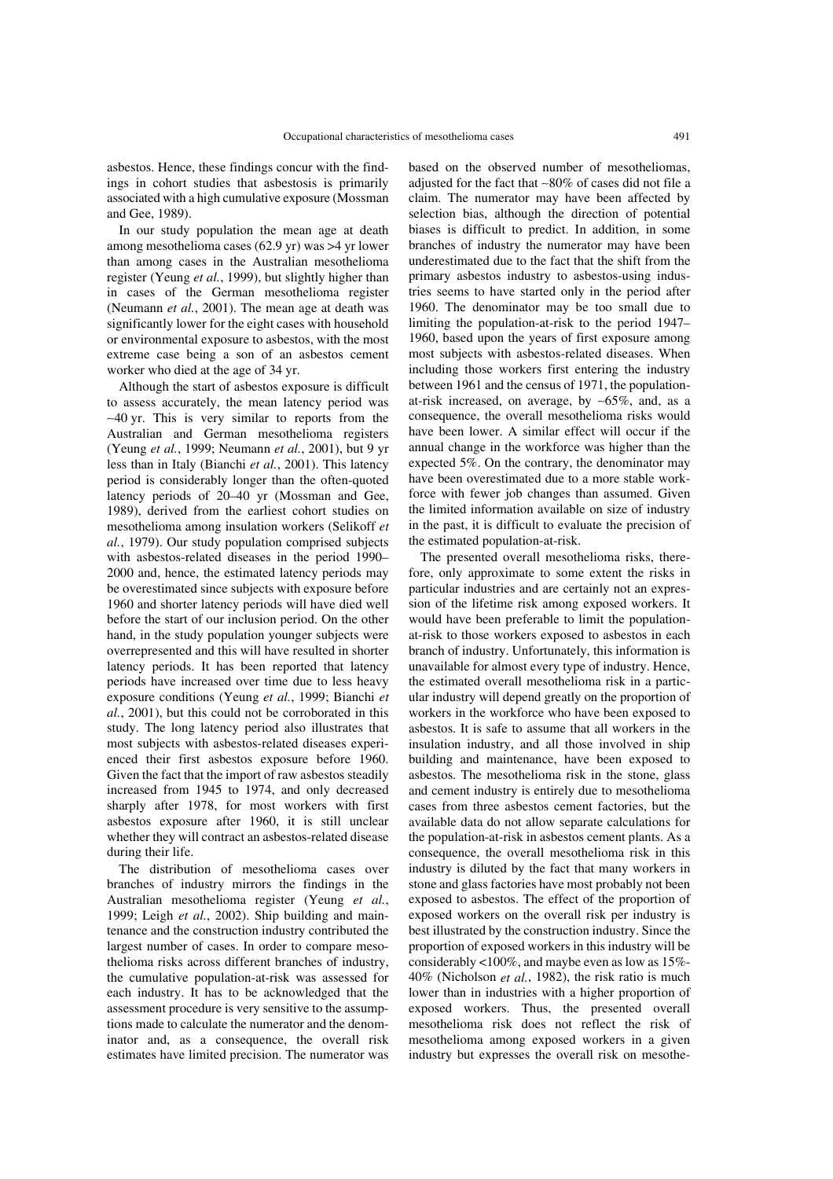asbestos. Hence, these findings concur with the findings in cohort studies that asbestosis is primarily associated with a high cumulative exposure (Mossman and Gee, 1989).

In our study population the mean age at death among mesothelioma cases (62.9 yr) was >4 yr lower than among cases in the Australian mesothelioma register (Yeung *et al.*, 1999), but slightly higher than in cases of the German mesothelioma register (Neumann *et al.*, 2001). The mean age at death was significantly lower for the eight cases with household or environmental exposure to asbestos, with the most extreme case being a son of an asbestos cement worker who died at the age of 34 yr.

Although the start of asbestos exposure is difficult to assess accurately, the mean latency period was ∼40 yr. This is very similar to reports from the Australian and German mesothelioma registers (Yeung *et al.*, 1999; Neumann *et al.*, 2001), but 9 yr less than in Italy (Bianchi *et al.*, 2001). This latency period is considerably longer than the often-quoted latency periods of 20–40 yr (Mossman and Gee, 1989), derived from the earliest cohort studies on mesothelioma among insulation workers (Selikoff *et al.*, 1979). Our study population comprised subjects with asbestos-related diseases in the period 1990– 2000 and, hence, the estimated latency periods may be overestimated since subjects with exposure before 1960 and shorter latency periods will have died well before the start of our inclusion period. On the other hand, in the study population younger subjects were overrepresented and this will have resulted in shorter latency periods. It has been reported that latency periods have increased over time due to less heavy exposure conditions (Yeung *et al.*, 1999; Bianchi *et al.*, 2001), but this could not be corroborated in this study. The long latency period also illustrates that most subjects with asbestos-related diseases experienced their first asbestos exposure before 1960. Given the fact that the import of raw asbestos steadily increased from 1945 to 1974, and only decreased sharply after 1978, for most workers with first asbestos exposure after 1960, it is still unclear whether they will contract an asbestos-related disease during their life.

The distribution of mesothelioma cases over branches of industry mirrors the findings in the Australian mesothelioma register (Yeung *et al.*, 1999; Leigh *et al.*, 2002). Ship building and maintenance and the construction industry contributed the largest number of cases. In order to compare mesothelioma risks across different branches of industry, the cumulative population-at-risk was assessed for each industry. It has to be acknowledged that the assessment procedure is very sensitive to the assumptions made to calculate the numerator and the denominator and, as a consequence, the overall risk estimates have limited precision. The numerator was

based on the observed number of mesotheliomas, adjusted for the fact that ∼80% of cases did not file a claim. The numerator may have been affected by selection bias, although the direction of potential biases is difficult to predict. In addition, in some branches of industry the numerator may have been underestimated due to the fact that the shift from the primary asbestos industry to asbestos-using industries seems to have started only in the period after 1960. The denominator may be too small due to limiting the population-at-risk to the period 1947– 1960, based upon the years of first exposure among most subjects with asbestos-related diseases. When including those workers first entering the industry between 1961 and the census of 1971, the populationat-risk increased, on average, by ∼65%, and, as a consequence, the overall mesothelioma risks would have been lower. A similar effect will occur if the annual change in the workforce was higher than the expected 5%. On the contrary, the denominator may have been overestimated due to a more stable workforce with fewer job changes than assumed. Given the limited information available on size of industry in the past, it is difficult to evaluate the precision of the estimated population-at-risk.

The presented overall mesothelioma risks, therefore, only approximate to some extent the risks in particular industries and are certainly not an expression of the lifetime risk among exposed workers. It would have been preferable to limit the populationat-risk to those workers exposed to asbestos in each branch of industry. Unfortunately, this information is unavailable for almost every type of industry. Hence, the estimated overall mesothelioma risk in a particular industry will depend greatly on the proportion of workers in the workforce who have been exposed to asbestos. It is safe to assume that all workers in the insulation industry, and all those involved in ship building and maintenance, have been exposed to asbestos. The mesothelioma risk in the stone, glass and cement industry is entirely due to mesothelioma cases from three asbestos cement factories, but the available data do not allow separate calculations for the population-at-risk in asbestos cement plants. As a consequence, the overall mesothelioma risk in this industry is diluted by the fact that many workers in stone and glass factories have most probably not been exposed to asbestos. The effect of the proportion of exposed workers on the overall risk per industry is best illustrated by the construction industry. Since the proportion of exposed workers in this industry will be considerably <100%, and maybe even as low as 15%- 40% (Nicholson *et al.*, 1982), the risk ratio is much lower than in industries with a higher proportion of exposed workers. Thus, the presented overall mesothelioma risk does not reflect the risk of mesothelioma among exposed workers in a given industry but expresses the overall risk on mesothe